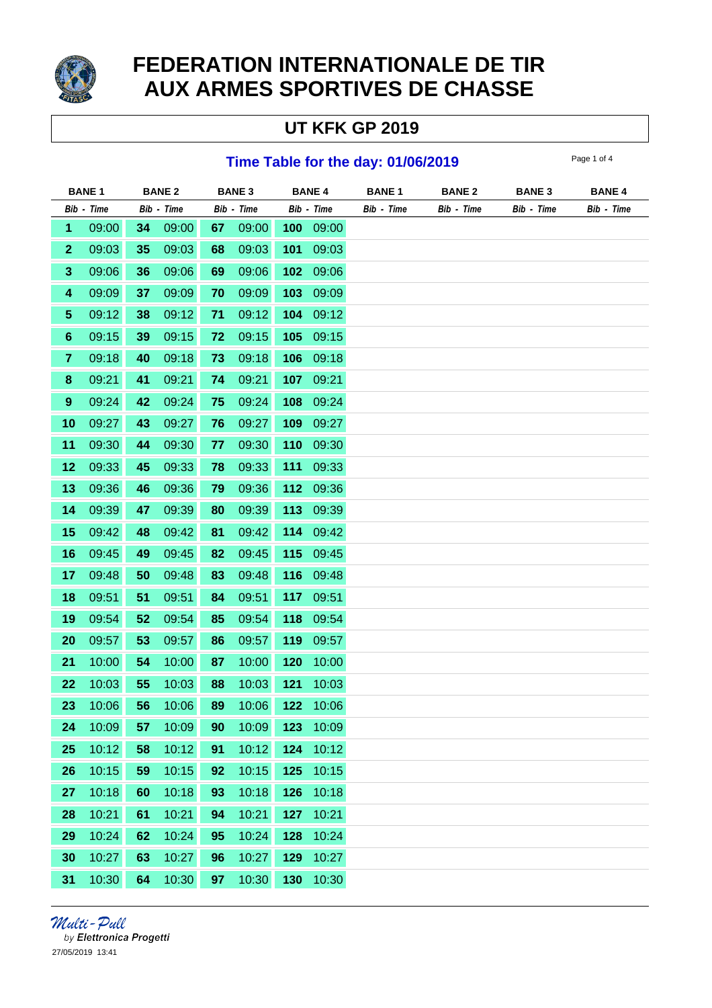

# **FEDERATION INTERNATIONALE DE TIR AUX ARMES SPORTIVES DE CHASSE**

# **UT KFK GP 2019**

#### **Time Table for the day: 01/06/2019** Page 1 of 4

|                         | <b>BANE1</b> |            | <b>BANE 2</b> |            | <b>BANE 3</b> |            | <b>BANE 4</b> | <b>BANE1</b> | <b>BANE 2</b> | <b>BANE 3</b> | <b>BANE 4</b> |
|-------------------------|--------------|------------|---------------|------------|---------------|------------|---------------|--------------|---------------|---------------|---------------|
|                         | Bib - Time   | Bib - Time |               | Bib - Time |               | Bib - Time |               | Bib - Time   | Bib - Time    | Bib - Time    | Bib - Time    |
| 1                       | 09:00        | 34         | 09:00         | 67         | 09:00         | 100        | 09:00         |              |               |               |               |
| $\mathbf{2}$            | 09:03        | 35         | 09:03         | 68         | 09:03         | 101        | 09:03         |              |               |               |               |
| $\mathbf{3}$            | 09:06        | 36         | 09:06         | 69         | 09:06         | 102        | 09:06         |              |               |               |               |
| $\overline{\mathbf{4}}$ | 09:09        | 37         | 09:09         | 70         | 09:09         | 103        | 09:09         |              |               |               |               |
| $\overline{\mathbf{5}}$ | 09:12        | 38         | 09:12         | 71         | 09:12         | 104        | 09:12         |              |               |               |               |
| $\bf 6$                 | 09:15        | 39         | 09:15         | 72         | 09:15         | 105        | 09:15         |              |               |               |               |
| $\overline{7}$          | 09:18        | 40         | 09:18         | 73         | 09:18         | 106        | 09:18         |              |               |               |               |
| $\bf 8$                 | 09:21        | 41         | 09:21         | 74         | 09:21         | 107        | 09:21         |              |               |               |               |
| $\boldsymbol{9}$        | 09:24        | 42         | 09:24         | 75         | 09:24         | 108        | 09:24         |              |               |               |               |
| 10                      | 09:27        | 43         | 09:27         | 76         | 09:27         | 109        | 09:27         |              |               |               |               |
| 11                      | 09:30        | 44         | 09:30         | 77         | 09:30         | 110        | 09:30         |              |               |               |               |
| 12                      | 09:33        | 45         | 09:33         | 78         | 09:33         | 111        | 09:33         |              |               |               |               |
| 13                      | 09:36        | 46         | 09:36         | 79         | 09:36         | $112$      | 09:36         |              |               |               |               |
| 14                      | 09:39        | 47         | 09:39         | 80         | 09:39         | 113        | 09:39         |              |               |               |               |
| 15                      | 09:42        | 48         | 09:42         | 81         | 09:42         | 114        | 09:42         |              |               |               |               |
| 16                      | 09:45        | 49         | 09:45         | 82         | 09:45         | 115        | 09:45         |              |               |               |               |
| 17                      | 09:48        | 50         | 09:48         | 83         | 09:48         | 116        | 09:48         |              |               |               |               |
| 18                      | 09:51        | 51         | 09:51         | 84         | 09:51         | 117        | 09:51         |              |               |               |               |
| 19                      | 09:54        | 52         | 09:54         | 85         | 09:54         | 118        | 09:54         |              |               |               |               |
| 20                      | 09:57        | 53         | 09:57         | 86         | 09:57         | 119        | 09:57         |              |               |               |               |
| 21                      | 10:00        | 54         | 10:00         | 87         | 10:00         | 120        | 10:00         |              |               |               |               |
| 22                      | 10:03        | 55         | 10:03         | 88         | 10:03         | 121        | 10:03         |              |               |               |               |
| 23                      | 10:06        | 56         | 10:06         | 89         | 10:06         | 122        | 10:06         |              |               |               |               |
| 24                      | 10:09        | 57         | 10:09         | 90         | 10:09         | 123        | 10:09         |              |               |               |               |
| 25                      | 10:12        | 58         | 10:12         | 91         | 10:12         | 124        | 10:12         |              |               |               |               |
| 26                      | 10:15        | 59         | 10:15         | 92         | 10:15         | 125        | 10:15         |              |               |               |               |
| 27                      | 10:18        | 60         | 10:18         | 93         | 10:18         | 126        | 10:18         |              |               |               |               |
| 28                      | 10:21        | 61         | 10:21         | 94         | 10:21         | 127        | 10:21         |              |               |               |               |
| 29                      | 10:24        | 62         | 10:24         | 95         | 10:24         | 128        | 10:24         |              |               |               |               |
| 30                      | 10:27        | 63         | 10:27         | 96         | 10:27         | 129        | 10:27         |              |               |               |               |
| 31                      | 10:30        | 64         | 10:30         | 97         | 10:30         | 130        | 10:30         |              |               |               |               |

Multi-Pull by Elettronica Progetti 27/05/2019 13:41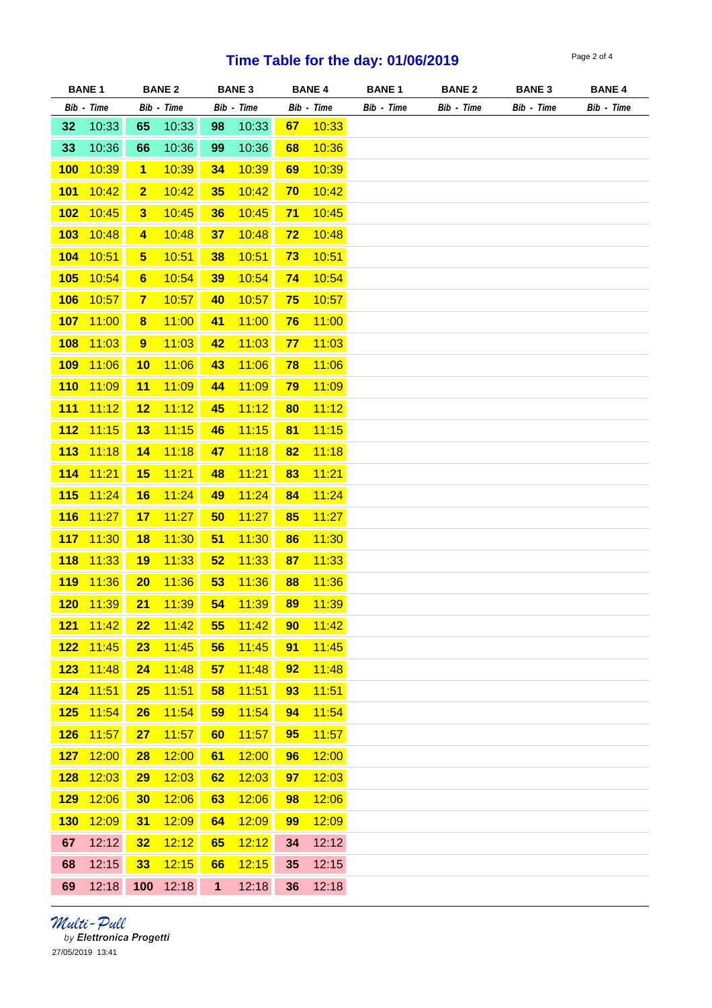## **Time Table for the day: 01/06/2019**

| Page 2 of 4 |  |  |
|-------------|--|--|
|             |  |  |

| <b>BANE1</b> |            |                         | <b>BANE 2</b> |              | <b>BANE 3</b> |           | <b>BANE 4</b> | <b>BANE 1</b> | <b>BANE 2</b> | <b>BANE 3</b> | <b>BANE 4</b> |  |  |
|--------------|------------|-------------------------|---------------|--------------|---------------|-----------|---------------|---------------|---------------|---------------|---------------|--|--|
|              | Bib - Time |                         | Bib - Time    |              | Bib - Time    |           | Bib - Time    | Bib - Time    | Bib - Time    | Bib - Time    | Bib - Time    |  |  |
| 32           | 10:33      | 65                      | 10:33         | 98           | 10:33         | 67        | 10:33         |               |               |               |               |  |  |
| 33           | 10:36      | 66                      | 10:36         | 99           | 10:36         | 68        | 10:36         |               |               |               |               |  |  |
| 100          | 10:39      | $\mathbf{1}$            | 10:39         | 34           | 10:39         | 69        | 10:39         |               |               |               |               |  |  |
| 101          | 10:42      | $\mathbf{2}$            | 10:42         | 35           | 10:42         | 70        | 10:42         |               |               |               |               |  |  |
| 102          | 10:45      | $\mathbf{3}$            | 10:45         | 36           | 10:45         | 71        | 10:45         |               |               |               |               |  |  |
| 103          | 10:48      | $\overline{\mathbf{4}}$ | 10:48         | 37           | 10:48         | <u>72</u> | 10:48         |               |               |               |               |  |  |
| 104          | 10:51      | $5\phantom{.0}$         | 10:51         | 38           | 10:51         | 73        | 10:51         |               |               |               |               |  |  |
| 105          | 10:54      | $6\phantom{1}$          | 10:54         | 39           | 10:54         | 74        | 10:54         |               |               |               |               |  |  |
| <b>106</b>   | 10:57      | $\overline{7}$          | 10:57         | 40           | 10:57         | 75        | 10:57         |               |               |               |               |  |  |
| <b>107</b>   | 11:00      | $\boldsymbol{8}$        | 11:00         | 41           | 11:00         | <b>76</b> | 11:00         |               |               |               |               |  |  |
| <b>108</b>   | 11:03      | 9                       | 11:03         | 42           | 11:03         | 77        | 11:03         |               |               |               |               |  |  |
| <b>109</b>   | 11:06      | 10                      | 11:06         | 43           | 11:06         | 78        | 11:06         |               |               |               |               |  |  |
| 110          | 11:09      | 11                      | 11:09         | 44           | 11:09         | 79        | 11:09         |               |               |               |               |  |  |
| 111          | 11:12      | 12                      | 11:12         | 45           | 11:12         | 80        | 11:12         |               |               |               |               |  |  |
| 112          | 11:15      | 13                      | 11:15         | 46           | 11:15         | 81        | 11:15         |               |               |               |               |  |  |
| 113          | 11:18      | 14                      | 11:18         | 47           | 11:18         | 82        | 11:18         |               |               |               |               |  |  |
| <b>114</b>   | 11:21      | 15                      | 11:21         | 48           | 11:21         | 83        | 11:21         |               |               |               |               |  |  |
| 115          | 11:24      | 16                      | 11:24         | 49           | 11:24         | 84        | 11:24         |               |               |               |               |  |  |
| <b>116</b>   | 11:27      | 17                      | 11:27         | 50           | 11:27         | 85        | 11:27         |               |               |               |               |  |  |
| <b>117</b>   | 11:30      | 18                      | 11:30         | 51           | 11:30         | 86        | 11:30         |               |               |               |               |  |  |
| <b>118</b>   | 11:33      | 19                      | 11:33         | 52           | 11:33         | 87        | 11:33         |               |               |               |               |  |  |
| <b>119</b>   | 11:36      | 20                      | 11:36         | 53           | 11:36         | 88        | 11:36         |               |               |               |               |  |  |
| 120          | 11:39      | 21                      | 11:39         | 54           | 11:39         | 89        | 11:39         |               |               |               |               |  |  |
| 121          | 11:42      | 22                      | 11:42         | 55           | 11:42         | 90        | 11:42         |               |               |               |               |  |  |
| 122          | 11:45      | 23                      | 11:45         | 56           | 11:45         | 91        | 11:45         |               |               |               |               |  |  |
| 123          | 11:48      | 24                      | 11:48         | 57           | 11:48         | 92        | 11:48         |               |               |               |               |  |  |
| 124          | 11:51      | 25                      | 11:51         | 58           | 11:51         | 93        | 11:51         |               |               |               |               |  |  |
| 125          | 11:54      | 26                      | 11:54         | 59           | 11:54         | 94        | 11:54         |               |               |               |               |  |  |
| 126          | 11:57      | 27                      | 11:57         | 60           | 11:57         | 95        | 11:57         |               |               |               |               |  |  |
| 127          | 12:00      | 28                      | 12:00         | 61           | 12:00         | 96        | 12:00         |               |               |               |               |  |  |
| 128          | 12:03      | 29                      | 12:03         | 62           | 12:03         | 97        | 12:03         |               |               |               |               |  |  |
| 129          | 12:06      | 30                      | 12:06         | 63           | 12:06         | 98        | 12:06         |               |               |               |               |  |  |
| <b>130</b>   | 12:09      | 31                      | 12:09         | 64           | 12:09         | 99        | 12:09         |               |               |               |               |  |  |
| 67           | 12:12      | 32                      | 12:12         | 65           | 12:12         | 34        | 12:12         |               |               |               |               |  |  |
| 68           | 12:15      | 33                      | 12:15         | 66           | 12:15         | 35        | 12:15         |               |               |               |               |  |  |
| 69           | 12:18      | 100                     | 12:18         | $\mathbf{1}$ | 12:18         | 36        | 12:18         |               |               |               |               |  |  |

*Multi - Pull*<br>by Elettronica Progetti 27/05/2019 13:41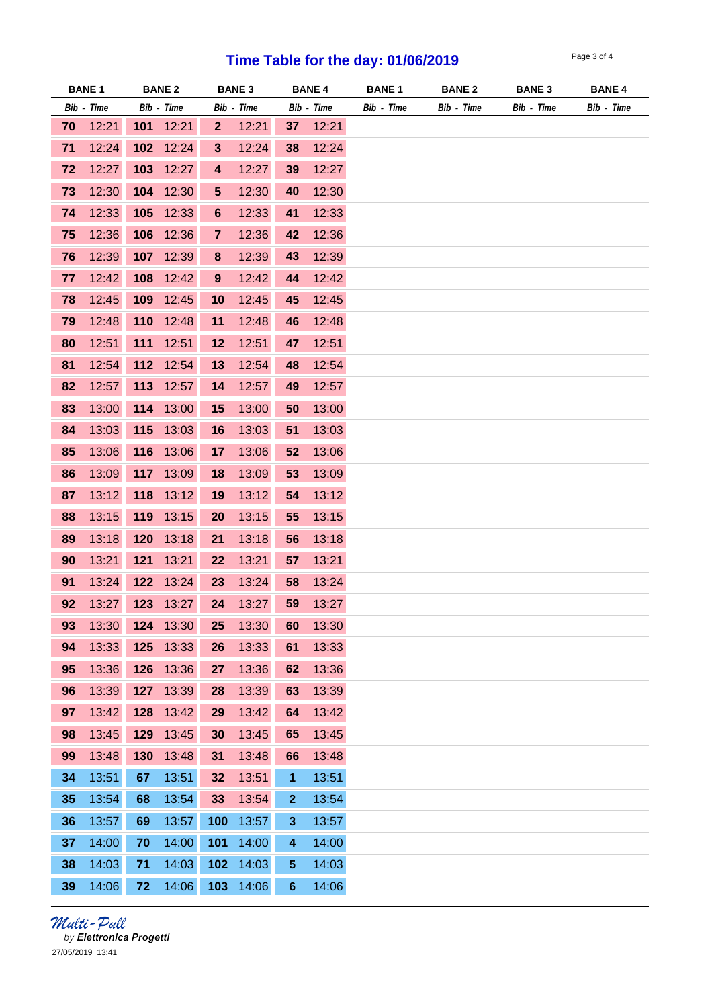## **Time Table for the day: 01/06/2019**

| Page 3 of 4 |  |  |
|-------------|--|--|
|             |  |  |

| <b>BANE 1</b> |            |     | <b>BANE 2</b> |                  | <b>BANE 3</b> |                 | <b>BANE 4</b> | <b>BANE 1</b> | <b>BANE 2</b> | <b>BANE 3</b> | <b>BANE 4</b> |  |
|---------------|------------|-----|---------------|------------------|---------------|-----------------|---------------|---------------|---------------|---------------|---------------|--|
|               | Bib - Time |     | Bib - Time    |                  | Bib - Time    |                 | Bib - Time    | Bib - Time    | Bib - Time    | Bib - Time    | Bib - Time    |  |
| 70            | 12:21      | 101 | 12:21         | $\mathbf{2}$     | 12:21         | 37              | 12:21         |               |               |               |               |  |
| 71            | 12:24      |     | 102 12:24     | $3\phantom{a}$   | 12:24         | 38              | 12:24         |               |               |               |               |  |
| 72            | 12:27      | 103 | 12:27         | 4                | 12:27         | 39              | 12:27         |               |               |               |               |  |
| 73            | 12:30      | 104 | 12:30         | $\sqrt{5}$       | 12:30         | 40              | 12:30         |               |               |               |               |  |
| 74            | 12:33      | 105 | 12:33         | $\boldsymbol{6}$ | 12:33         | 41              | 12:33         |               |               |               |               |  |
| 75            | 12:36      | 106 | 12:36         | $\overline{7}$   | 12:36         | 42              | 12:36         |               |               |               |               |  |
| 76            | 12:39      | 107 | 12:39         | $\boldsymbol{8}$ | 12:39         | 43              | 12:39         |               |               |               |               |  |
| 77            | 12:42      | 108 | 12:42         | 9                | 12:42         | 44              | 12:42         |               |               |               |               |  |
| 78            | 12:45      | 109 | 12:45         | 10               | 12:45         | 45              | 12:45         |               |               |               |               |  |
| 79            | 12:48      | 110 | 12:48         | 11               | 12:48         | 46              | 12:48         |               |               |               |               |  |
| 80            | 12:51      | 111 | 12:51         | 12               | 12:51         | 47              | 12:51         |               |               |               |               |  |
| 81            | 12:54      | 112 | 12:54         | 13               | 12:54         | 48              | 12:54         |               |               |               |               |  |
| 82            | 12:57      | 113 | 12:57         | 14               | 12:57         | 49              | 12:57         |               |               |               |               |  |
| 83            | 13:00      | 114 | 13:00         | 15               | 13:00         | 50              | 13:00         |               |               |               |               |  |
| 84            | 13:03      | 115 | 13:03         | 16               | 13:03         | 51              | 13:03         |               |               |               |               |  |
| 85            | 13:06      | 116 | 13:06         | 17               | 13:06         | 52              | 13:06         |               |               |               |               |  |
| 86            | 13:09      |     | 117 13:09     | 18               | 13:09         | 53              | 13:09         |               |               |               |               |  |
| 87            | 13:12      | 118 | 13:12         | 19               | 13:12         | 54              | 13:12         |               |               |               |               |  |
| 88            | 13:15      | 119 | 13:15         | 20               | 13:15         | 55              | 13:15         |               |               |               |               |  |
| 89            | 13:18      | 120 | 13:18         | 21               | 13:18         | 56              | 13:18         |               |               |               |               |  |
| 90            | 13:21      | 121 | 13:21         | 22               | 13:21         | 57              | 13:21         |               |               |               |               |  |
| 91            | 13:24      | 122 | 13:24         | 23               | 13:24         | 58              | 13:24         |               |               |               |               |  |
| 92            | 13:27      |     | 123 13:27     | 24               | 13:27         | 59              | 13:27         |               |               |               |               |  |
| 93            | 13:30      |     | 124 13:30     | 25               | 13:30         | 60              | 13:30         |               |               |               |               |  |
| 94            | 13:33      | 125 | 13:33         | 26               | 13:33         | 61              | 13:33         |               |               |               |               |  |
| 95            | 13:36      |     | 126 13:36     | 27               | 13:36         | 62              | 13:36         |               |               |               |               |  |
| 96            | 13:39      | 127 | 13:39         | 28               | 13:39         | 63              | 13:39         |               |               |               |               |  |
| 97            | 13:42      |     | 128 13:42     | 29               | 13:42         | 64              | 13:42         |               |               |               |               |  |
| 98            | 13:45      | 129 | 13:45         | 30               | 13:45         | 65              | 13:45         |               |               |               |               |  |
| 99            | 13:48      | 130 | 13:48         | 31               | 13:48         | 66              | 13:48         |               |               |               |               |  |
| 34            | 13:51      | 67  | 13:51         | 32               | 13:51         | 1               | 13:51         |               |               |               |               |  |
| 35            | 13:54      | 68  | 13:54         | 33               | 13:54         | $\mathbf{2}$    | 13:54         |               |               |               |               |  |
| 36            | 13:57      | 69  | 13:57         | 100              | 13:57         | 3               | 13:57         |               |               |               |               |  |
| 37            | 14:00      | 70  | 14:00         | 101              | 14:00         | 4               | 14:00         |               |               |               |               |  |
| 38            | 14:03      | 71  | 14:03         | 102              | 14:03         | 5               | 14:03         |               |               |               |               |  |
| 39            | 14:06      | 72  | 14:06         | 103              | 14:06         | $6\phantom{1}6$ | 14:06         |               |               |               |               |  |

*Multi - Pull*<br>by Elettronica Progetti 27/05/2019 13:41